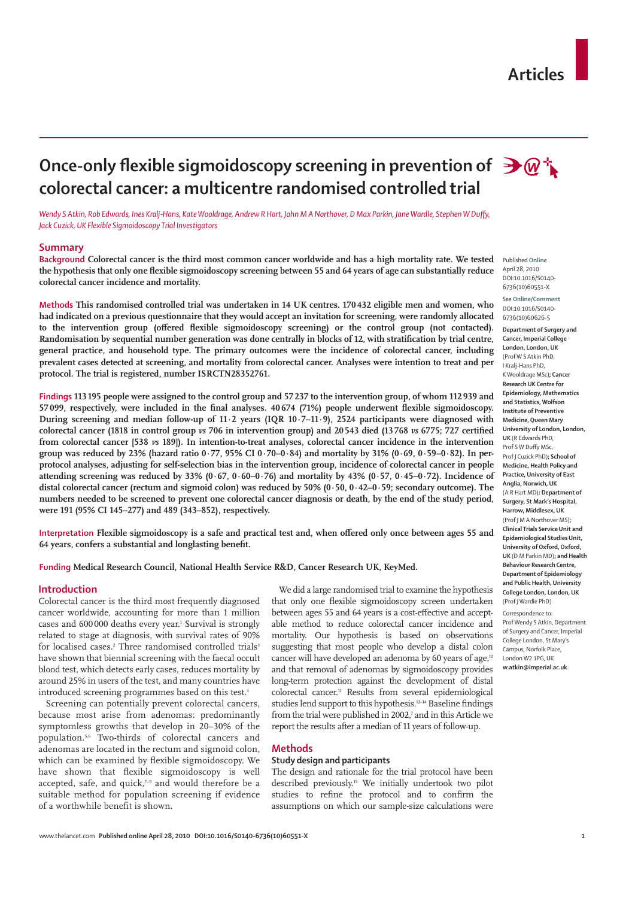# Once-only flexible sigmoidoscopy screening in prevention of  $\partial \mathcal{P}$ **colorectal cancer: a multicentre randomised controlled trial**

Wendy S Atkin, Rob Edwards, Ines Kralj-Hans, Kate Wooldrage, Andrew R Hart, John M A Northover, D Max Parkin, Jane Wardle, Stephen W Duffy, *Jack Cuzick, UK Flexible Sigmoidoscopy Trial Investigators*

## **Summary**

**Background Colorectal cancer is the third most common cancer worldwide and has a high mortality rate. We tested**  the hypothesis that only one flexible sigmoidoscopy screening between 55 and 64 years of age can substantially reduce **colorectal cancer incidence and mortality.**

**Methods This randomised controlled trial was undertaken in 14 UK centres. 170 432 eligible men and women, who had indicated on a previous questionnaire that they would accept an invitation for screening, were randomly allocated**  to the intervention group (offered flexible sigmoidoscopy screening) or the control group (not contacted). Randomisation by sequential number generation was done centrally in blocks of 12, with stratification by trial centre, **general practice, and household type. The primary outcomes were the incidence of colorectal cancer, including prevalent cases detected at screening, and mortality from colorectal cancer. Analyses were intention to treat and per protocol. The trial is registered, number ISRCTN28352761.**

**Findings 113 195 people were assigned to the control group and 57 237 to the intervention group, of whom 112 939 and**  57099, respectively, were included in the final analyses. 40 674 (71%) people underwent flexible sigmoidoscopy. **During screening and median follow-up of 11·2 years (IQR 10·7–11·9), 2524 participants were diagnosed with**  colorectal cancer (1818 in control group *vs* 706 in intervention group) and 20543 died (13768 *vs* 6775; 727 certified **from colorectal cancer [538** *vs* **189]). In intention-to-treat analyses, colorectal cancer incidence in the intervention group was reduced by 23% (hazard ratio 0·77, 95% CI 0·70–0·84) and mortality by 31% (0·69, 0·59–0·82). In perprotocol analyses, adjusting for self-selection bias in the intervention group, incidence of colorectal cancer in people attending screening was reduced by 33% (0·67, 0·60–0·76) and mortality by 43% (0·57, 0·45–0·72). Incidence of distal colorectal cancer (rectum and sigmoid colon) was reduced by 50% (0·50, 0·42–0·59; secondary outcome). The numbers needed to be screened to prevent one colorectal cancer diagnosis or death, by the end of the study period, were 191 (95% CI 145–277) and 489 (343–852), respectively.**

Interpretation Flexible sigmoidoscopy is a safe and practical test and, when offered only once between ages 55 and 64 years, confers a substantial and longlasting benefit.

**Funding Medical Research Council, National Health Service R&D, Cancer Research UK, KeyMed.**

# **Introduction**

Colorectal cancer is the third most frequently diagnosed cancer worldwide, accounting for more than 1 million cases and 600 000 deaths every year.<sup>1</sup> Survival is strongly related to stage at diagnosis, with survival rates of 90% for localised cases.<sup>2</sup> Three randomised controlled trials<sup>3</sup> have shown that biennial screening with the faecal occult blood test, which detects early cases, reduces mortality by around 25% in users of the test, and many countries have introduced screening programmes based on this test.<sup>4</sup>

Screening can potentially prevent colorectal cancers, because most arise from adenomas: predominantly symptomless growths that develop in 20–30% of the population.5,6 Two-thirds of colorectal cancers and adenomas are located in the rectum and sigmoid colon, which can be examined by flexible sigmoidoscopy. We have shown that flexible sigmoidoscopy is well accepted, safe, and quick, $7-9$  and would therefore be a suitable method for population screening if evidence of a worthwhile benefit is shown.

We did a large randomised trial to examine the hypothesis that only one flexible sigmoidoscopy screen undertaken between ages 55 and 64 years is a cost-effective and acceptable method to reduce colorectal cancer incidence and mortality. Our hypothesis is based on observations suggesting that most people who develop a distal colon cancer will have developed an adenoma by 60 years of age,<sup>10</sup> and that removal of adenomas by sigmoidoscopy provides long-term protection against the development of distal colorectal cancer.11 Results from several epidemiological studies lend support to this hypothesis.<sup>12-14</sup> Baseline findings from the trial were published in 2002,<sup>7</sup> and in this Article we report the results after a median of 11 years of follow-up.

#### **Methods**

# **Study design and participants**

The design and rationale for the trial protocol have been described previously.15 We initially undertook two pilot studies to refine the protocol and to confirm the assumptions on which our sample-size calculations were Published **Online** April 28, 2010 DOI:10.1016/S0140- 6736(10)60551-X

See **Online/Comment** DOI:10.1016/S0140- 6736(10)60626-5

**Department of Surgery and Cancer, Imperial College London, London, UK**  (Prof W S Atkin PhD, I Kralj-Hans PhD, K Wooldrage MSc)**; Cancer Research UK Centre for Epidemiology, Mathematics and Statistics, Wolfson Institute of Preventive Medicine, Queen Mary University of London, London, UK** (R Edwards PhD, Prof S W Duffy MSc. Prof J Cuzick PhD)**; School of Medicine, Health Policy and Practice, University of East Anglia, Norwich, UK**  (A R Hart MD)**; Department of Surgery, St Mark's Hospital, Harrow, Middlesex, UK**  (Prof J M A Northover MS)**; Clinical Trials Service Unit and Epidemiological Studies Unit, University of Oxford, Oxford, UK** (D M Parkin MD)**; and Health Behaviour Research Centre, Department of Epidemiology and Public Health, University College London, London, UK** (Prof J Wardle PhD)

Correspondence to: Prof Wendy S Atkin, Department of Surgery and Cancer, Imperial College London, St Mary's Campus, Norfolk Place, London W2 1PG, UK **w.atkin@imperial.ac.uk**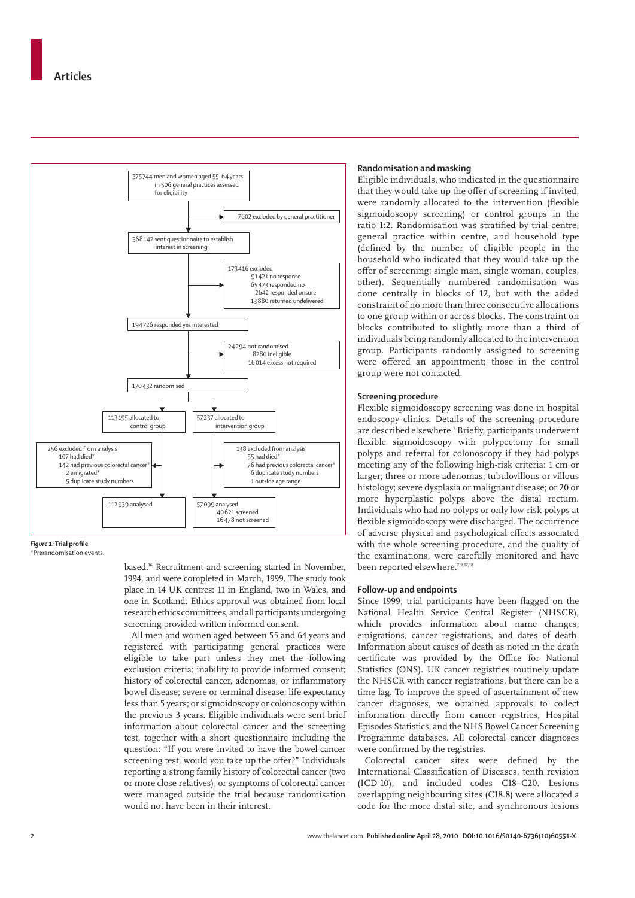

### **Figure 1:** Trial profile

\*Prerandomisation events.

based.16 Recruitment and screening started in November, 1994, and were completed in March, 1999. The study took place in 14 UK centres: 11 in England, two in Wales, and one in Scotland. Ethics approval was obtained from local research ethics committees, and all participants undergoing screening provided written informed consent.

All men and women aged between 55 and 64 years and registered with participating general practices were eligible to take part unless they met the following exclusion criteria: inability to provide informed consent; history of colorectal cancer, adenomas, or inflammatory bowel disease; severe or terminal disease; life expectancy less than 5 years; or sigmoidoscopy or colonoscopy within the previous 3 years. Eligible individuals were sent brief information about colorectal cancer and the screening test, together with a short questionnaire including the question: "If you were invited to have the bowel-cancer screening test, would you take up the offer?" Individuals reporting a strong family history of colorectal cancer (two or more close relatives), or symptoms of colorectal cancer were managed outside the trial because randomisation would not have been in their interest.

# **Randomisation and masking**

Eligible individuals, who indicated in the questionnaire that they would take up the offer of screening if invited, were randomly allocated to the intervention (flexible sigmoidoscopy screening) or control groups in the ratio 1:2. Randomisation was stratified by trial centre, general practice within centre, and household type (defined by the number of eligible people in the household who indicated that they would take up the offer of screening: single man, single woman, couples, other). Sequentially numbered randomisation was done centrally in blocks of 12, but with the added constraint of no more than three consecutive allocations to one group within or across blocks. The constraint on blocks contributed to slightly more than a third of individuals being randomly allocated to the intervention group. Participants randomly assigned to screening were offered an appointment; those in the control group were not contacted.

## **Screening procedure**

Flexible sigmoidoscopy screening was done in hospital endoscopy clinics. Details of the screening procedure are described elsewhere.<sup>7</sup> Briefl y, participants underwent flexible sigmoidoscopy with polypectomy for small polyps and referral for colonoscopy if they had polyps meeting any of the following high-risk criteria: 1 cm or larger; three or more adenomas; tubulovillous or villous histology; severe dysplasia or malignant disease; or 20 or more hyperplastic polyps above the distal rectum. Individuals who had no polyps or only low-risk polyps at flexible sigmoidoscopy were discharged. The occurrence of adverse physical and psychological effects associated with the whole screening procedure, and the quality of the examinations, were carefully monitored and have been reported elsewhere.<sup>7,9,17,18</sup>

# **Follow-up and endpoints**

Since 1999, trial participants have been flagged on the National Health Service Central Register (NHSCR), which provides information about name changes, emigrations, cancer registrations, and dates of death. Information about causes of death as noted in the death certificate was provided by the Office for National Statistics (ONS). UK cancer registries routinely update the NHSCR with cancer registrations, but there can be a time lag. To improve the speed of ascertainment of new cancer diagnoses, we obtained approvals to collect information directly from cancer registries, Hospital Episodes Statistics, and the NHS Bowel Cancer Screening Programme databases. All colorectal cancer diagnoses were confirmed by the registries.

Colorectal cancer sites were defined by the International Classification of Diseases, tenth revision (ICD-10), and included codes C18–C20. Lesions overlapping neighbouring sites (C18.8) were allocated a code for the more distal site, and synchronous lesions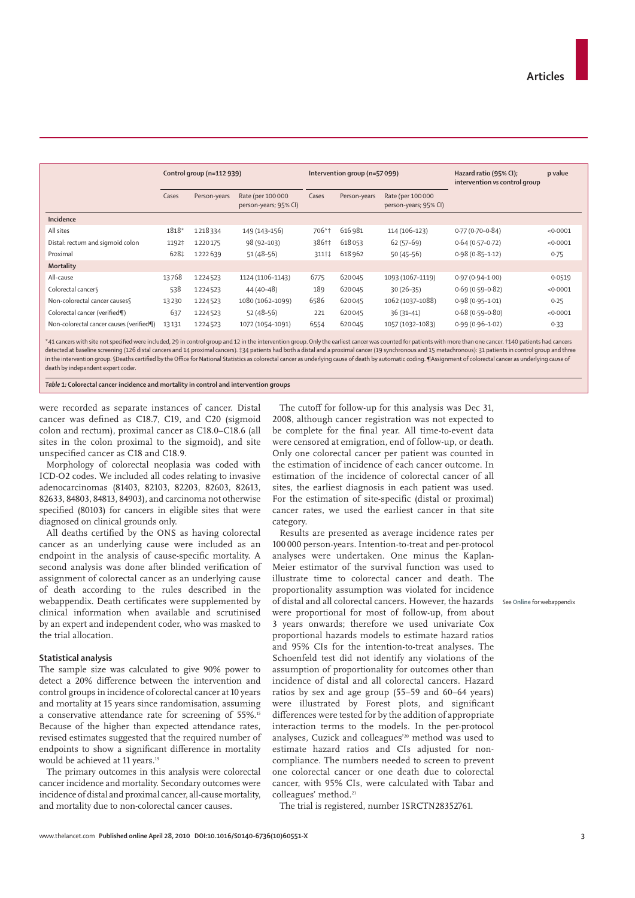|                                          | Control group (n=112 939) |              |                                            |                    | Intervention group (n=57099) |                                            | Hazard ratio (95% CI);<br>intervention vs control group | p value  |
|------------------------------------------|---------------------------|--------------|--------------------------------------------|--------------------|------------------------------|--------------------------------------------|---------------------------------------------------------|----------|
|                                          | Cases                     | Person-years | Rate (per 100 000<br>person-years; 95% CI) | Cases              | Person-years                 | Rate (per 100 000<br>person-years; 95% CI) |                                                         |          |
| Incidence                                |                           |              |                                            |                    |                              |                                            |                                                         |          |
| All sites                                | 1818*                     | 1218334      | 149 (143-156)                              | 706*†              | 616981                       | 114 (106-123)                              | $0.77(0.70-0.84)$                                       | < 0.0001 |
| Distal: rectum and sigmoid colon         | 1192‡                     | 1220175      | $98(92 - 103)$                             | 386†‡              | 618053                       | $62(57-69)$                                | $0.64(0.57-0.72)$                                       | < 0.0001 |
| Proximal                                 | 628‡                      | 1222639      | $51(48-56)$                                | $311$ <sup>+</sup> | 618962                       | $50(45-56)$                                | $0.98(0.85 - 1.12)$                                     | 0.75     |
| Mortality                                |                           |              |                                            |                    |                              |                                            |                                                         |          |
| All-cause                                | 13768                     | 1224523      | 1124 (1106-1143)                           | 6775               | 620045                       | 1093 (1067-1119)                           | $0.97(0.94 - 1.00)$                                     | 0.0519   |
| Colorectal cancer                        | 538                       | 1224523      | 44 (40-48)                                 | 189                | 620045                       | $30(26-35)$                                | $0.69(0.59 - 0.82)$                                     | < 0.0001 |
| Non-colorectal cancer causes             | 13230                     | 1224523      | 1080 (1062-1099)                           | 6586               | 620045                       | 1062 (1037-1088)                           | $0.98(0.95 - 1.01)$                                     | 0.25     |
| Colorectal cancer (verified¶)            | 637                       | 1224523      | $52(48-56)$                                | 221                | 620045                       | $36(31-41)$                                | $0.68(0.59 - 0.80)$                                     | < 0.0001 |
| Non-colorectal cancer causes (verified¶) | 13131                     | 1224523      | 1072 (1054-1091)                           | 6554               | 620045                       | 1057 (1032-1083)                           | $0.99(0.96 - 1.02)$                                     | 0.33     |
|                                          |                           |              |                                            |                    |                              |                                            |                                                         |          |

\*41 cancers with site not specified were included, 29 in control group and 12 in the intervention group. Only the earliest cancer was counted for patients with more than one cancer. †140 patients had cancers detected at baseline screening (126 distal cancers and 14 proximal cancers). ‡34 patients had both a distal and a proximal cancer (19 synchronous and 15 metachronous): 31 patients in control group and three in the intervention group. SDeaths certified by the Office for National Statistics as colorectal cancer as underlying cause of death by automatic coding. ¶Assignment of colorectal cancer as underlying cause of death by independent expert coder.

*Table 1:* **Colorectal cancer incidence and mortality in control and intervention groups**

were recorded as separate instances of cancer. Distal cancer was defined as C18.7, C19, and C20 (sigmoid colon and rectum), proximal cancer as C18.0–C18.6 (all sites in the colon proximal to the sigmoid), and site unspecified cancer as C18 and C18.9.

Morphology of colorectal neoplasia was coded with ICD-O2 codes. We included all codes relating to invasive adenocarcinomas (81403, 82103, 82203, 82603, 82613, 82633, 84803, 84813, 84903), and carcinoma not otherwise specified (80103) for cancers in eligible sites that were diagnosed on clinical grounds only.

All deaths certified by the ONS as having colorectal cancer as an underlying cause were included as an endpoint in the analysis of cause-specific mortality. A second analysis was done after blinded verification of assignment of colorectal cancer as an underlying cause of death according to the rules described in the webappendix. Death certificates were supplemented by clinical information when available and scrutinised by an expert and independent coder, who was masked to the trial allocation.

# **Statistical analysis**

The sample size was calculated to give 90% power to detect a 20% difference between the intervention and control groups in incidence of colorectal cancer at 10 years and mortality at 15 years since randomisation, assuming a conservative attendance rate for screening of 55%.<sup>15</sup> Because of the higher than expected attendance rates, revised estimates suggested that the required number of endpoints to show a significant difference in mortality would be achieved at 11 years.<sup>19</sup>

The primary outcomes in this analysis were colorectal cancer incidence and mortality. Secondary outcomes were incidence of distal and proximal cancer, all-cause mortality, and mortality due to non-colorectal cancer causes.

The cutoff for follow-up for this analysis was Dec 31, 2008, although cancer registration was not expected to be complete for the final year. All time-to-event data were censored at emigration, end of follow-up, or death. Only one colorectal cancer per patient was counted in the estimation of incidence of each cancer outcome. In estimation of the incidence of colorectal cancer of all sites, the earliest diagnosis in each patient was used. For the estimation of site-specific (distal or proximal) cancer rates, we used the earliest cancer in that site category.

Results are presented as average incidence rates per 100 000 person-years. Intention-to-treat and per-protocol analyses were undertaken. One minus the Kaplan-Meier estimator of the survival function was used to illustrate time to colorectal cancer and death. The proportionality assumption was violated for incidence of distal and all colorectal cancers. However, the hazards See **Online** for webappendixwere proportional for most of follow-up, from about 3 years onwards; therefore we used univariate Cox proportional hazards models to estimate hazard ratios and 95% CIs for the intention-to-treat analyses. The Schoenfeld test did not identify any violations of the assumption of proportionality for outcomes other than incidence of distal and all colorectal cancers. Hazard ratios by sex and age group (55–59 and 60–64 years) were illustrated by Forest plots, and significant differences were tested for by the addition of appropriate interaction terms to the models. In the per-protocol analyses, Cuzick and colleagues'20 method was used to estimate hazard ratios and CIs adjusted for noncompliance. The numbers needed to screen to prevent one colorectal cancer or one death due to colorectal cancer, with 95% CIs, were calculated with Tabar and colleagues' method.<sup>21</sup>

The trial is registered, number ISRCTN28352761.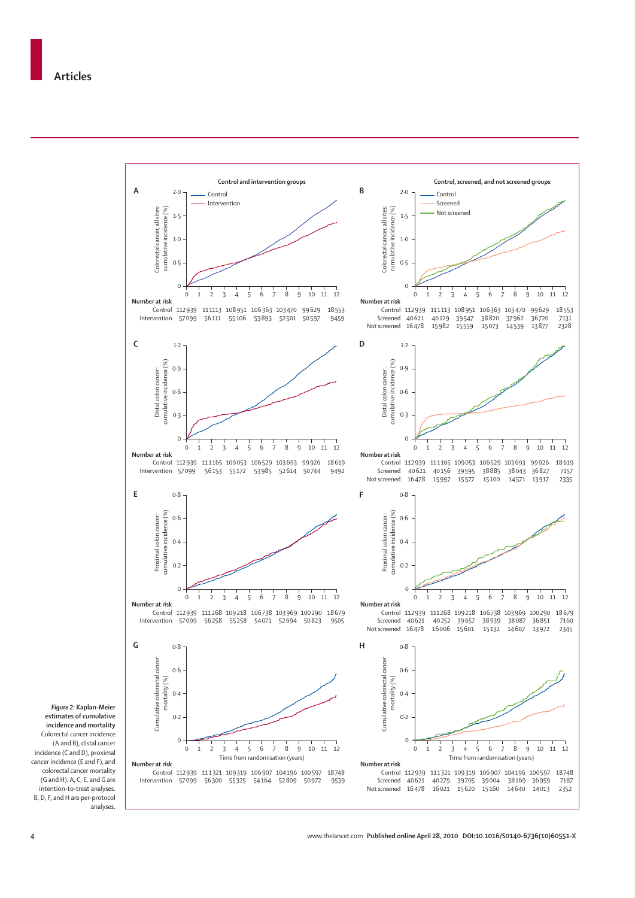

*Figure 2:* **Kaplan-Meier estimates of cumulative incidence and mortality** Colorectal cancer incidence (A and B), distal cancer incidence (C and D), proximal cancer incidence (E and F), and colorectal cancer mortality (G and H). A, C, E, and G are intention-to-treat analyses. B, D, F, and H are per-protocol analyses.

**4** www.thelancet.com**Published online April 28, 2010 DOI:10.1016/S0140-6736(10)60551-X**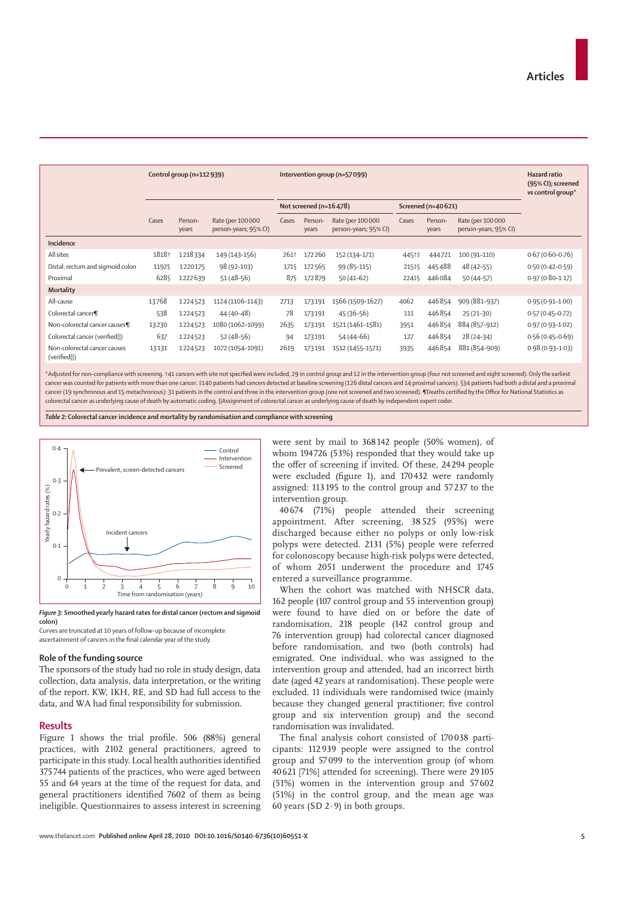|                                              | Control group (n=112939) |                  |                                            | Intervention group (n=57099) | <b>Hazard</b> ratio<br>(95% CI); screened<br>vs control group* |                                           |                    |                  |                                           |                     |
|----------------------------------------------|--------------------------|------------------|--------------------------------------------|------------------------------|----------------------------------------------------------------|-------------------------------------------|--------------------|------------------|-------------------------------------------|---------------------|
|                                              |                          |                  |                                            |                              | Not screened (n=16478)                                         |                                           | Screened (n=40621) |                  |                                           |                     |
|                                              | Cases                    | Person-<br>years | Rate (per 100 000<br>person-years; 95% CI) | Cases                        | Person-<br>years                                               | Rate (per 100000<br>person-years; 95% CI) | Cases              | Person-<br>years | Rate (per 100000<br>person-years; 95% CI) |                     |
| Incidence                                    |                          |                  |                                            |                              |                                                                |                                           |                    |                  |                                           |                     |
| All sites                                    | 1818+                    | 1218334          | 149 (143-156)                              | 261†                         | 172260                                                         | 152 (134-171)                             | 445†‡              | 444721           | 100 (91-110)                              | $0.67(0.60 - 0.76)$ |
| Distal: rectum and sigmoid colon             | 11929                    | 1220175          | 98 (92-103)                                | 1719                         | 172565                                                         | 99 (85-115)                               | 215‡§              | 445488           | 48 (42-55)                                | $0.50(0.42 - 0.59)$ |
| Proximal                                     | 6289                     | 1222639          | $51(48-56)$                                | 879                          | 172879                                                         | $50(41-62)$                               | 224‡§              | 446084           | 50 (44-57)                                | $0.97(0.80 - 1.17)$ |
| <b>Mortality</b>                             |                          |                  |                                            |                              |                                                                |                                           |                    |                  |                                           |                     |
| All-cause                                    | 13768                    | 1224523          | 1124 (1106-1143)                           | 2713                         | 173191                                                         | 1566 (1509-1627)                          | 4062               | 446854           | 909 (881-937)                             | $0.95(0.91 - 1.00)$ |
| Colorectal cancer¶                           | 538                      | 1224523          | 44 (40-48)                                 | 78                           | 173191                                                         | $45(36-56)$                               | 111                | 446854           | $25(21-30)$                               | $0.57(0.45 - 0.72)$ |
| Non-colorectal cancer causes¶                | 13230                    | 1224523          | 1080 (1062-1099)                           | 2635                         | 173191                                                         | 1521 (1461-1581)                          | 3951               | 446854           | 884 (857-912)                             | $0.97(0.93 - 1.02)$ |
| Colorectal cancer (verified  )               | 637                      | 1224523          | $52(48-56)$                                | 94                           | 173191                                                         | 54 (44 - 66)                              | 127                | 446854           | 28 (24-34)                                | $0.56(0.45 - 0.69)$ |
| Non-colorectal cancer causes<br>(verified  ) | 13131                    | 1224523          | 1072 (1054-1091)                           | 2619                         | 173191                                                         | 1512 (1455-1571)                          | 3935               | 446854           | 881 (854-909)                             | $0.98(0.93 - 1.03)$ |

\*Adjusted for non-compliance with screening. †41 cancers with site not specified were included, 29 in control group and 12 in the intervention group (four not screened and eight screened). Only the earliest cancer was counted for patients with more than one cancer. ‡140 patients had cancers detected at baseline screening (126 distal cancers and 14 proximal cancers). §34 patients had both a distal and a proximal cancer (19 synchronous and 15 metachronous): 31 patients in the control and three in the intervention group (one not screened and two screened). TDeaths certified by the Office for National Statistics as colorectal cancer as underlying cause of death by automatic coding. ||Assignment of colorectal cancer as underlying cause of death by independent expert coder.

*Table 2:* **Colorectal cancer incidence and mortality by randomisation and compliance with screening**



*Figure 3:* **Smoothed yearly hazard rates for distal cancer (rectum and sigmoid colon)**

Curves are truncated at 10 years of follow-up because of incomplete ascertainment of cancers in the final calendar year of the study.

# **Role of the funding source**

The sponsors of the study had no role in study design, data collection, data analysis, data interpretation, or the writing of the report. KW, IKH, RE, and SD had full access to the data, and WA had final responsibility for submission.

## **Results**

Figure 1 shows the trial profile. 506 (88%) general practices, with 2102 general practitioners, agreed to participate in this study. Local health authorities identified 375 744 patients of the practices, who were aged between 55 and 64 years at the time of the request for data, and general practitioners identified 7602 of them as being ineligible. Questionnaires to assess interest in screening were sent by mail to 368 142 people (50% women), of whom 194726 (53%) responded that they would take up the offer of screening if invited. Of these, 24294 people were excluded (figure 1), and 170432 were randomly assigned: 113 195 to the control group and 57 237 to the intervention group.

40 674 (71%) people attended their screening appointment. After screening, 38 525 (95%) were discharged because either no polyps or only low-risk polyps were detected. 2131 (5%) people were referred for colonoscopy because high-risk polyps were detected, of whom 2051 underwent the procedure and 1745 entered a surveillance programme.

When the cohort was matched with NHSCR data, 162 people (107 control group and 55 intervention group) were found to have died on or before the date of randomisation, 218 people (142 control group and 76 intervention group) had colorectal cancer diagnosed before randomisation, and two (both controls) had emigrated. One individual, who was assigned to the intervention group and attended, had an incorrect birth date (aged 42 years at randomisation). These people were excluded. 11 individuals were randomised twice (mainly because they changed general practitioner; five control group and six intervention group) and the second randomisation was invalidated.

The final analysis cohort consisted of 170038 participants: 112 939 people were assigned to the control group and 57 099 to the intervention group (of whom 40 621 [71%] attended for screening). There were 29 105 (51%) women in the intervention group and 57 602 (51%) in the control group, and the mean age was 60 years (SD 2·9) in both groups.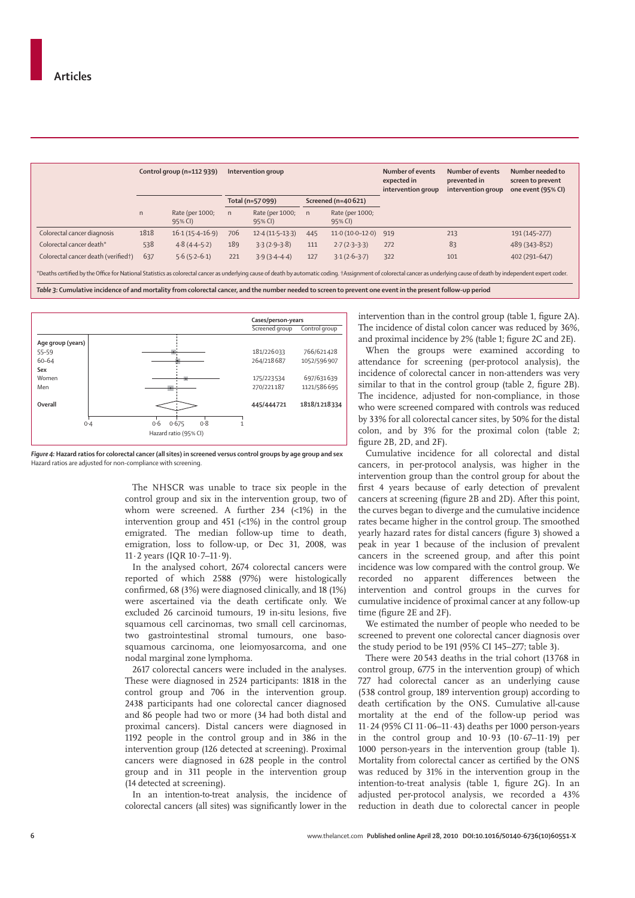|                                                                                                                                                                                                                           |      | Control group $(n=112939)$ | Intervention group |                            |                        |                            | Number of events<br>expected in<br>intervention group | Number of events<br>prevented in<br>intervention group | Number needed to<br>screen to prevent<br>one event (95% CI) |
|---------------------------------------------------------------------------------------------------------------------------------------------------------------------------------------------------------------------------|------|----------------------------|--------------------|----------------------------|------------------------|----------------------------|-------------------------------------------------------|--------------------------------------------------------|-------------------------------------------------------------|
|                                                                                                                                                                                                                           |      |                            | Total (n=57099)    |                            | Screened ( $n=40621$ ) |                            |                                                       |                                                        |                                                             |
|                                                                                                                                                                                                                           | n    | Rate (per 1000;<br>95% CI) | $\mathsf{n}$       | Rate (per 1000;<br>95% CI) | n                      | Rate (per 1000;<br>95% CI) |                                                       |                                                        |                                                             |
| Colorectal cancer diagnosis                                                                                                                                                                                               | 1818 | $16.1(15.4 - 16.9)$        | 706                | $12.4(11.5-13.3)$          | 445                    | 11.0 (10.0-12.0) 919       |                                                       | 213                                                    | 191 (145-277)                                               |
| Colorectal cancer death*                                                                                                                                                                                                  | 538  | $4.8(4.4-5.2)$             | 189                | $3.3(2.9-3.8)$             | 111                    | $2.7(2.3-3.3)$             | 272                                                   | 83                                                     | 489 (343-852)                                               |
| Colorectal cancer death (verified†)                                                                                                                                                                                       | 637  | $5.6(5.2-6.1)$             | 221                | $3.9(3.4 - 4.4)$           | 127                    | $3.1(2.6-3.7)$             | 322                                                   | 101                                                    | 402 (291-647)                                               |
| *Deaths certified by the Office for National Statistics as colorectal cancer as underlying cause of death by automatic coding. +Assignment of colorectal cancer as underlying cause of death by independent expert coder. |      |                            |                    |                            |                        |                            |                                                       |                                                        |                                                             |

*Table 3:* **Cumulative incidence of and mortality from colorectal cancer, and the number needed to screen to prevent one event in the present follow-up period**



*Figure 4:* **Hazard ratios for colorectal cancer (all sites) in screened versus control groups by age group and sex** Hazard ratios are adjusted for non-compliance with screening.

> The NHSCR was unable to trace six people in the control group and six in the intervention group, two of whom were screened. A further 234 (<1%) in the intervention group and 451 (<1%) in the control group emigrated. The median follow-up time to death, emigration, loss to follow-up, or Dec 31, 2008, was 11·2 years (IQR 10·7–11·9).

> In the analysed cohort, 2674 colorectal cancers were reported of which 2588 (97%) were histologically confirmed, 68 (3%) were diagnosed clinically, and 18 (1%) were ascertained via the death certificate only. We excluded 26 carcinoid tumours, 19 in-situ lesions, five squamous cell carcinomas, two small cell carcinomas, two gastrointestinal stromal tumours, one basosquamous carcinoma, one leiomyosarcoma, and one nodal marginal zone lymphoma.

> 2617 colorectal cancers were included in the analyses. These were diagnosed in 2524 participants: 1818 in the control group and 706 in the intervention group. 2438 participants had one colorectal cancer diagnosed and 86 people had two or more (34 had both distal and proximal cancers). Distal cancers were diagnosed in 1192 people in the control group and in 386 in the intervention group (126 detected at screening). Proximal cancers were diagnosed in 628 people in the control group and in 311 people in the intervention group (14 detected at screening).

> In an intention-to-treat analysis, the incidence of colorectal cancers (all sites) was significantly lower in the

intervention than in the control group (table 1, figure 2A). The incidence of distal colon cancer was reduced by 36%, and proximal incidence by 2% (table 1; figure 2C and 2E).

When the groups were examined according to attendance for screening (per-protocol analysis), the incidence of colorectal cancer in non-attenders was very similar to that in the control group (table 2, figure 2B). The incidence, adjusted for non-compliance, in those who were screened compared with controls was reduced by 33% for all colorectal cancer sites, by 50% for the distal colon, and by 3% for the proximal colon (table 2; figure  $2B$ ,  $2D$ , and  $2F$ ).

Cumulative incidence for all colorectal and distal cancers, in per-protocol analysis, was higher in the intervention group than the control group for about the first 4 years because of early detection of prevalent cancers at screening (figure 2B and 2D). After this point, the curves began to diverge and the cumulative incidence rates became higher in the control group. The smoothed yearly hazard rates for distal cancers (figure 3) showed a peak in year 1 because of the inclusion of prevalent cancers in the screened group, and after this point incidence was low compared with the control group. We recorded no apparent differences between the intervention and control groups in the curves for cumulative incidence of proximal cancer at any follow-up time (figure 2E and 2F).

We estimated the number of people who needed to be screened to prevent one colorectal cancer diagnosis over the study period to be 191 (95% CI 145–277; table 3).

There were 20 543 deaths in the trial cohort (13 768 in control group, 6775 in the intervention group) of which 727 had colorectal cancer as an underlying cause (538 control group, 189 intervention group) according to death certification by the ONS. Cumulative all-cause mortality at the end of the follow-up period was 11·24 (95% CI 11·06–11·43) deaths per 1000 person-years in the control group and  $10.93$   $(10.67-11.19)$  per 1000 person-years in the intervention group (table 1). Mortality from colorectal cancer as certified by the ONS was reduced by 31% in the intervention group in the intention-to-treat analysis (table 1, figure  $2G$ ). In an adjusted per-protocol analysis, we recorded a 43% reduction in death due to colorectal cancer in people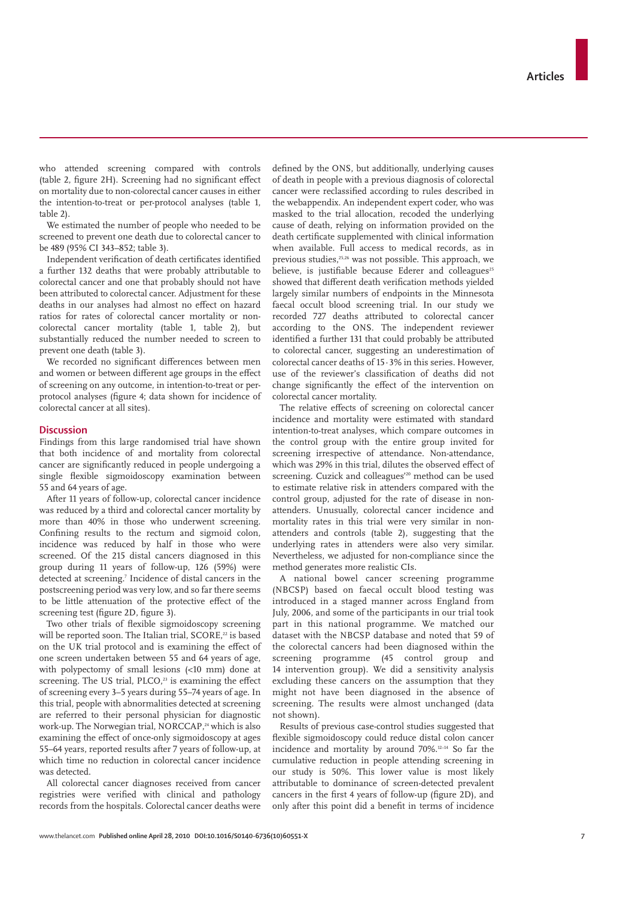who attended screening compared with controls (table 2, figure 2H). Screening had no significant effect on mortality due to non-colorectal cancer causes in either the intention-to-treat or per-protocol analyses (table 1, table 2).

We estimated the number of people who needed to be screened to prevent one death due to colorectal cancer to be 489 (95% CI 343–852; table 3).

Independent verification of death certificates identified a further 132 deaths that were probably attributable to colorectal cancer and one that probably should not have been attributed to colorectal cancer. Adjustment for these deaths in our analyses had almost no effect on hazard ratios for rates of colorectal cancer mortality or noncolorectal cancer mortality (table 1, table 2), but substantially reduced the number needed to screen to prevent one death (table 3).

We recorded no significant differences between men and women or between different age groups in the effect of screening on any outcome, in intention-to-treat or perprotocol analyses (figure 4; data shown for incidence of colorectal cancer at all sites).

### **Discussion**

Findings from this large randomised trial have shown that both incidence of and mortality from colorectal cancer are significantly reduced in people undergoing a single flexible sigmoidoscopy examination between 55 and 64 years of age.

After 11 years of follow-up, colorectal cancer incidence was reduced by a third and colorectal cancer mortality by more than 40% in those who underwent screening. Confining results to the rectum and sigmoid colon, incidence was reduced by half in those who were screened. Of the 215 distal cancers diagnosed in this group during 11 years of follow-up, 126 (59%) were detected at screening.<sup>7</sup> Incidence of distal cancers in the postscreening period was very low, and so far there seems to be little attenuation of the protective effect of the screening test (figure 2D, figure 3).

Two other trials of flexible sigmoidoscopy screening will be reported soon. The Italian trial, SCORE,<sup>22</sup> is based on the UK trial protocol and is examining the effect of one screen undertaken between 55 and 64 years of age, with polypectomy of small lesions (<10 mm) done at screening. The US trial,  $PLCO<sup>23</sup>$  is examining the effect of screening every 3–5 years during 55–74 years of age. In this trial, people with abnormalities detected at screening are referred to their personal physician for diagnostic work-up. The Norwegian trial, NORCCAP,<sup>24</sup> which is also examining the effect of once-only sigmoidoscopy at ages 55–64 years, reported results after 7 years of follow-up, at which time no reduction in colorectal cancer incidence was detected.

All colorectal cancer diagnoses received from cancer registries were verified with clinical and pathology records from the hospitals. Colorectal cancer deaths were

defined by the ONS, but additionally, underlying causes of death in people with a previous diagnosis of colorectal cancer were reclassified according to rules described in the webappendix. An independent expert coder, who was masked to the trial allocation, recoded the underlying cause of death, relying on information provided on the death certificate supplemented with clinical information when available. Full access to medical records, as in previous studies,<sup>25,26</sup> was not possible. This approach, we believe, is justifiable because Ederer and colleagues<sup>25</sup> showed that different death verification methods yielded largely similar numbers of endpoints in the Minnesota faecal occult blood screening trial. In our study we recorded 727 deaths attributed to colorectal cancer according to the ONS. The independent reviewer identified a further 131 that could probably be attributed to colorectal cancer, suggesting an underestimation of colorectal cancer deaths of 15·3% in this series. However, use of the reviewer's classification of deaths did not change significantly the effect of the intervention on colorectal cancer mortality.

The relative effects of screening on colorectal cancer incidence and mortality were estimated with standard intention-to-treat analyses, which compare outcomes in the control group with the entire group invited for screening irrespective of attendance. Non-attendance, which was 29% in this trial, dilutes the observed effect of screening. Cuzick and colleagues<sup>'20</sup> method can be used to estimate relative risk in attenders compared with the control group, adjusted for the rate of disease in nonattenders. Unusually, colorectal cancer incidence and mortality rates in this trial were very similar in nonattenders and controls (table 2), suggesting that the underlying rates in attenders were also very similar. Nevertheless, we adjusted for non-compliance since the method generates more realistic CIs.

A national bowel cancer screening programme (NBCSP) based on faecal occult blood testing was introduced in a staged manner across England from July, 2006, and some of the participants in our trial took part in this national programme. We matched our dataset with the NBCSP database and noted that 59 of the colorectal cancers had been diagnosed within the screening programme (45 control group and 14 intervention group). We did a sensitivity analysis excluding these cancers on the assumption that they might not have been diagnosed in the absence of screening. The results were almost unchanged (data not shown).

Results of previous case-control studies suggested that flexible sigmoidoscopy could reduce distal colon cancer incidence and mortality by around 70%.12–14 So far the cumulative reduction in people attending screening in our study is 50%. This lower value is most likely attributable to dominance of screen-detected prevalent cancers in the first 4 years of follow-up (figure 2D), and only after this point did a benefit in terms of incidence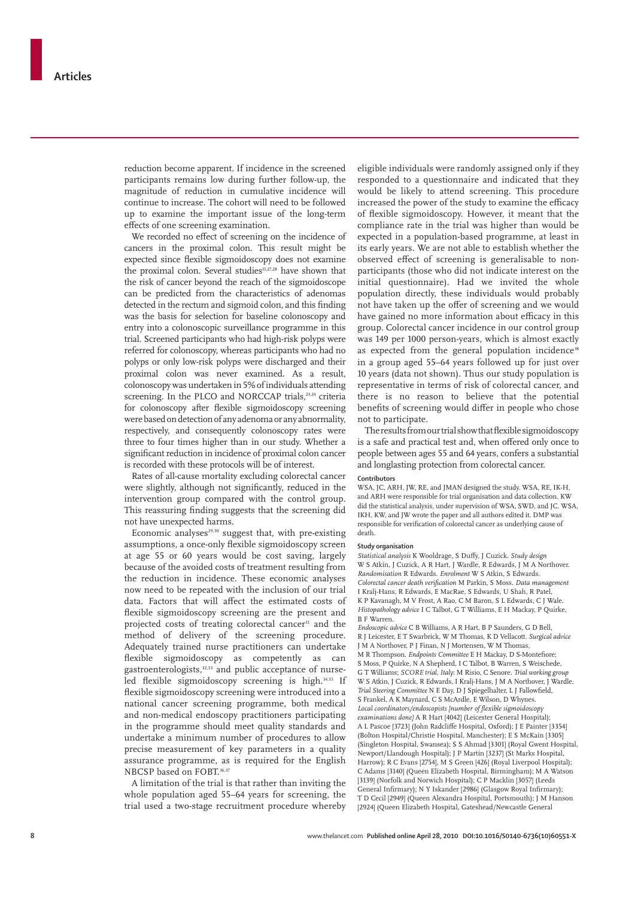reduction become apparent. If incidence in the screened participants remains low during further follow-up, the magnitude of reduction in cumulative incidence will continue to increase. The cohort will need to be followed up to examine the important issue of the long-term effects of one screening examination.

We recorded no effect of screening on the incidence of cancers in the proximal colon. This result might be expected since flexible sigmoidoscopy does not examine the proximal colon. Several studies<sup>11,27,28</sup> have shown that the risk of cancer beyond the reach of the sigmoidoscope can be predicted from the characteristics of adenomas detected in the rectum and sigmoid colon, and this finding was the basis for selection for baseline colonoscopy and entry into a colonoscopic surveillance programme in this trial. Screened participants who had high-risk polyps were referred for colonoscopy, whereas participants who had no polyps or only low-risk polyps were discharged and their proximal colon was never examined. As a result, colonoscopy was undertaken in 5% of individuals attending screening. In the PLCO and NORCCAP trials,<sup>23,24</sup> criteria for colonoscopy after flexible sigmoidoscopy screening were based on detection of any adenoma or any abnormality, respectively, and consequently colonoscopy rates were three to four times higher than in our study. Whether a significant reduction in incidence of proximal colon cancer is recorded with these protocols will be of interest.

Rates of all-cause mortality excluding colorectal cancer were slightly, although not significantly, reduced in the intervention group compared with the control group. This reassuring finding suggests that the screening did not have unexpected harms.

Economic analyses $29,30$  suggest that, with pre-existing assumptions, a once-only flexible sigmoidoscopy screen at age 55 or 60 years would be cost saving, largely because of the avoided costs of treatment resulting from the reduction in incidence. These economic analyses now need to be repeated with the inclusion of our trial data. Factors that will affect the estimated costs of flexible sigmoidoscopy screening are the present and projected costs of treating colorectal cancer<sup>31</sup> and the method of delivery of the screening procedure. Adequately trained nurse practitioners can undertake flexible sigmoidoscopy as competently as can gastroenterologists,<sup>32,33</sup> and public acceptance of nurseled flexible sigmoidoscopy screening is high.<sup>34,35</sup> If flexible sigmoidoscopy screening were introduced into a national cancer screening programme, both medical and non-medical endoscopy practitioners participating in the programme should meet quality standards and undertake a minimum number of procedures to allow precise measurement of key parameters in a quality assurance programme, as is required for the English NBCSP based on FOBT.<sup>36,37</sup>

A limitation of the trial is that rather than inviting the whole population aged 55–64 years for screening, the trial used a two-stage recruitment procedure whereby eligible individuals were randomly assigned only if they responded to a questionnaire and indicated that they would be likely to attend screening. This procedure increased the power of the study to examine the efficacy of flexible sigmoidoscopy. However, it meant that the compliance rate in the trial was higher than would be expected in a population-based programme, at least in its early years. We are not able to establish whether the observed effect of screening is generalisable to nonparticipants (those who did not indicate interest on the initial questionnaire). Had we invited the whole population directly, these individuals would probably not have taken up the offer of screening and we would have gained no more information about efficacy in this group. Colorectal cancer incidence in our control group was 149 per 1000 person-years, which is almost exactly as expected from the general population incidence<sup>38</sup> in a group aged 55–64 years followed up for just over 10 years (data not shown). Thus our study population is representative in terms of risk of colorectal cancer, and there is no reason to believe that the potential benefits of screening would differ in people who chose not to participate.

The results from our trial show that flexible sigmoidoscopy is a safe and practical test and, when offered only once to people between ages 55 and 64 years, confers a substantial and longlasting protection from colorectal cancer.

#### **Contributors**

WSA, JC, ARH, JW, RE, and JMAN designed the study. WSA, RE, IK-H, and ARH were responsible for trial organisation and data collection. KW did the statistical analysis, under supervision of WSA, SWD, and JC. WSA, IKH, KW, and JW wrote the paper and all authors edited it. DMP was responsible for verification of colorectal cancer as underlying cause of death.

## **Study organisation**

*Statistical analysis* K Wooldrage, S Duffy, J Cuzick. *Study design* W S Atkin, J Cuzick, A R Hart, J Wardle, R Edwards, J M A Northover. *Randomisation* R Edwards. *Enrolment* W S Atkin, S Edwards. *Colorectal cancer death verifi cation* M Parkin, S Moss. *Data management* I Kralj-Hans, R Edwards, E MacRae, S Edwards, U Shah, R Patel, K P Kavanagh, M V Frost, A Rao, C M Baron, S L Edwards, C J Wale. *Histopathology advice* I C Talbot, G T Williams, E H Mackay, P Quirke, B F Warren.

*Endoscopic advice* C B Williams, A R Hart, B P Saunders, G D Bell, R J Leicester, E T Swarbrick, W M Thomas, K D Vellacott. *Surgical advice* J M A Northover, P J Finan, N J Mortensen, W M Thomas, M R Thompson. *Endpoints Committee* E H Mackay, D S-Montefiore; S Moss, P Quirke, N A Shepherd, I C Talbot, B Warren, S Weischede, G T Williams; *SCORE trial, Italy*: M Risio, C Senore. *Trial working group*  W S Atkin, J Cuzick, R Edwards, I Kralj-Hans, J M A Northover, J Wardle. Trial Steering Committee N E Day, D J Spiegelhalter, L J Fallowfield, S Frankel, A K Maynard, C S McArdle, E Wilson, D Whynes. Local coordinators/endoscopists [number of flexible sigmoidoscopy *examinations done]* A R Hart [4042] (Leicester General Hospital); A L Pascoe [3723] (John Radcliffe Hospital, Oxford); J E Painter [3354] (Bolton Hospital/Christie Hospital, Manchester); E S McKain [3305] (Singleton Hospital, Swansea); S S Ahmad [3301] (Royal Gwent Hospital, Newport/Llandough Hospital); J P Martin [3237] (St Marks Hospital, Harrow); R C Evans [2754], M S Green [426] (Royal Liverpool Hospital); C Adams [3140] (Queen Elizabeth Hospital, Birmingham); M A Watson [3139] (Norfolk and Norwich Hospital); C P Macklin [3057] (Leeds General Infirmary); N Y Iskander [2986] (Glasgow Royal Infirmary); T D Cecil [2949] (Queen Alexandra Hospital, Portsmouth); J M Hanson [2924] (Queen Elizabeth Hospital, Gateshead/Newcastle General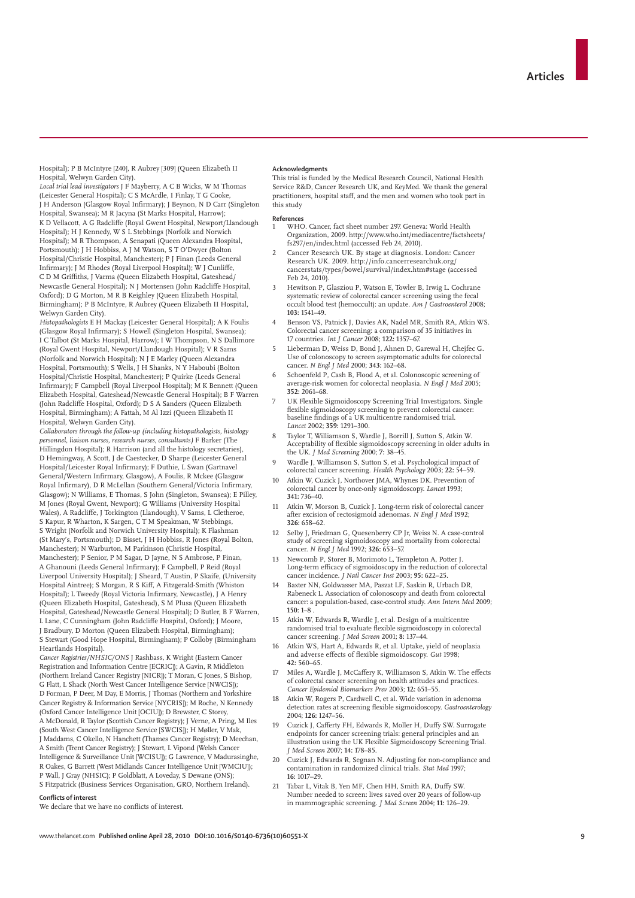Hospital); P B McIntyre [240], R Aubrey [309] (Queen Elizabeth II Hospital, Welwyn Garden City).

*Local trial lead investigators* J F Mayberry, A C B Wicks, W M Thomas (Leicester General Hospital); C S McArdle, I Finlay, T G Cooke, J H Anderson (Glasgow Royal Infirmary); J Beynon, N D Carr (Singleton Hospital, Swansea); M R Jacyna (St Marks Hospital, Harrow); K D Vellacott, A G Radcliffe (Royal Gwent Hospital, Newport/Llandough Hospital); H J Kennedy, W S L Stebbings (Norfolk and Norwich Hospital); M R Thompson, A Senapati (Queen Alexandra Hospital, Portsmouth); J H Hobbiss, A J M Watson, S T O'Dwyer (Bolton Hospital/Christie Hospital, Manchester); P J Finan (Leeds General Infirmary); J M Rhodes (Royal Liverpool Hospital); W J Cunliffe, C D M Griffiths, J Varma (Queen Elizabeth Hospital, Gateshead/ Newcastle General Hospital); N J Mortensen (John Radcliffe Hospital, Oxford); D G Morton, M R B Keighley (Queen Elizabeth Hospital, Birmingham); P B McIntyre, R Aubrey (Queen Elizabeth II Hospital, Welwyn Garden City).

*Histopathologists* E H Mackay (Leicester General Hospital); A K Foulis (Glasgow Royal Infirmary); S Howell (Singleton Hospital, Swansea); I C Talbot (St Marks Hospital, Harrow); I W Thompson, N S Dallimore (Royal Gwent Hospital, Newport/Llandough Hospital); V R Sams (Norfolk and Norwich Hospital); N J E Marley (Queen Alexandra Hospital, Portsmouth); S Wells, J H Shanks, N Y Haboubi (Bolton Hospital/Christie Hospital, Manchester); P Quirke (Leeds General Infirmary); F Campbell (Royal Liverpool Hospital); M K Bennett (Queen Elizabeth Hospital, Gateshead/Newcastle General Hospital); B F Warren (John Radcliffe Hospital, Oxford); D S A Sanders (Queen Elizabeth Hospital, Birmingham); A Fattah, M Al Izzi (Queen Elizabeth II Hospital, Welwyn Garden City).

*Collaborators through the follow-up (including histopathologists, histology personnel, liaison nurses, research nurses, consultants)* F Barker (The Hillingdon Hospital); R Harrison (and all the histology secretaries), D Hemingway, A Scott, J de Caestecker, D Sharpe (Leicester General Hospital/Leicester Royal Infirmary); F Duthie, L Swan (Gartnavel General/Western Infirmary, Glasgow), A Foulis, R Mckee (Glasgow) Royal Infirmary), D R McLellan (Southern General/Victoria Infirmary, Glasgow); N Williams, E Thomas, S John (Singleton, Swansea); E Pilley, M Jones (Royal Gwent, Newport); G Williams (University Hospital Wales), A Radcliffe, J Torkington (Llandough), V Sams, L Cletheroe, S Kapur, R Wharton, K Sargen, C T M Speakman, W Stebbings, S Wright (Norfolk and Norwich University Hospital); K Flashman (St Mary's, Portsmouth); D Bisset, J H Hobbiss, R Jones (Royal Bolton, Manchester); N Warburton, M Parkinson (Christie Hospital, Manchester); P Senior, P M Sagar, D Jayne, N S Ambrose, P Finan, A Ghanouni (Leeds General Infirmary); F Campbell, P Reid (Royal Liverpool University Hospital); J Sheard, T Austin, P Skaife, (University Hospital Aintree); S Morgan, R S Kiff, A Fitzgerald-Smith (Whiston Hospital); L Tweedy (Royal Victoria Infirmary, Newcastle), J A Henry (Queen Elizabeth Hospital, Gateshead), S M Plusa (Queen Elizabeth Hospital, Gateshead/Newcastle General Hospital); D Butler, B F Warren, L Lane, C Cunningham (John Radcliffe Hospital, Oxford); J Moore, J Bradbury, D Morton (Queen Elizabeth Hospital, Birmingham); S Stewart (Good Hope Hospital, Birmingham); P Colloby (Birmingham Heartlands Hospital).

*Cancer Registries/NHSIC/ONS* J Rashbass, K Wright (Eastern Cancer Registration and Information Centre [ECRIC]); A Gavin, R Middleton (Northern Ireland Cancer Registry [NICR]); T Moran, C Jones, S Bishop, G Flatt, L Shack (North West Cancer Intelligence Service [NWCIS]); D Forman, P Deer, M Day, E Morris, J Thomas (Northern and Yorkshire Cancer Registry & Information Service [NYCRIS]); M Roche, N Kennedy (Oxford Cancer Intelligence Unit [OCIU]); D Brewster, C Storey, A McDonald, R Taylor (Scottish Cancer Registry); J Verne, A Pring, M Iles (South West Cancer Intelligence Service [SWCIS]); H Møller, V Mak, J Maddams, C Okello, N Hanchett (Thames Cancer Registry); D Meechan, A Smith (Trent Cancer Registry); J Stewart, L Vipond (Welsh Cancer Intelligence & Surveillance Unit [WCISU]); G Lawrence, V Madurasinghe, R Oakes, G Barrett (West Midlands Cancer Intelligence Unit [WMCIU]); P Wall, J Gray (NHSIC); P Goldblatt, A Loveday, S Dewane (ONS); S Fitzpatrick (Business Services Organisation, GRO, Northern Ireland).

#### **Confl icts of interest**

We declare that we have no conflicts of interest.

#### **Acknowledgments**

This trial is funded by the Medical Research Council, National Health Service R&D, Cancer Research UK, and KeyMed. We thank the general practitioners, hospital staff, and the men and women who took part in this study

#### **References**

- 1 WHO. Cancer, fact sheet number 297. Geneva: World Health Organization, 2009. http://www.who.int/mediacentre/factsheets/ fs297/en/index.html (accessed Feb 24, 2010).
- 2 Cancer Research UK. By stage at diagnosis. London: Cancer Research UK. 2009. http://info.cancerresearchuk.org/ cancerstats/types/bowel/survival/index.htm#stage (accessed Feb 24, 2010).
- 3 Hewitson P, Glasziou P, Watson E, Towler B, Irwig L. Cochrane systematic review of colorectal cancer screening using the fecal occult blood test (hemoccult): an update. *Am J Gastroenterol* 2008; **103:** 1541–49.
- Benson VS, Patnick J, Davies AK, Nadel MR, Smith RA, Atkin WS. Colorectal cancer screening: a comparison of 35 initiatives in 17 countries. *Int J Cancer* 2008; **122:** 1357–67.
- 5 Lieberman D, Weiss D, Bond J, Ahnen D, Garewal H, Chejfec G. Use of colonoscopy to screen asymptomatic adults for colorectal cancer. *N Engl J Med* 2000; **343:** 162–68.
- 6 Schoenfeld P, Cash B, Flood A, et al. Colonoscopic screening of average-risk women for colorectal neoplasia. *N Engl J Med* 2005; **352:** 2061–68.
- UK Flexible Sigmoidoscopy Screening Trial Investigators. Single flexible sigmoidoscopy screening to prevent colorectal cancer: baseline findings of a UK multicentre randomised trial. *Lancet* 2002; **359:** 1291–300.
- 8 Taylor T, Williamson S, Wardle J, Borrill J, Sutton S, Atkin W.<br>Acceptability of flexible sigmoidoscopy screening in older adults in the UK. *J Med Screening* 2000; **7:** 38–45.
- 9 Wardle J, Williamson S, Sutton S, et al. Psychological impact of colorectal cancer screening. *Health Psychology* 2003; **22:** 54–59.
- 10 Atkin W, Cuzick J, Northover JMA, Whynes DK. Prevention of colorectal cancer by once-only sigmoidoscopy. *Lancet* 1993; **341:** 736–40.
- 11 Atkin W, Morson B, Cuzick J. Long-term risk of colorectal cancer after excision of rectosigmoid adenomas. *N Engl J Med* 1992; **326:** 658–62.
- Selby J, Friedman G, Quesenberry CP Jr, Weiss N. A case-control study of screening sigmoidoscopy and mortality from colorectal cancer. *N Engl J Med* 1992; **326:** 653–57.
- Newcomb P, Storer B, Morimoto L, Templeton A, Potter J. Long-term efficacy of sigmoidoscopy in the reduction of colorectal cancer incidence. *J Natl Cancer Inst* 2003; **95:** 622–25.
- Baxter NN, Goldwasser MA, Paszat LF, Saskin R, Urbach DR, Rabeneck L. Association of colonoscopy and death from colorectal cancer: a population-based, case-control study. *Ann Intern Med* 2009; **150:** 1–8 .
- Atkin W, Edwards R, Wardle J, et al. Design of a multicentre randomised trial to evaluate flexible sigmoidoscopy in colorectal cancer screening. *J Med Screen* 2001; **8:** 137–44.
- Atkin WS, Hart A, Edwards R, et al. Uptake, yield of neoplasia and adverse effects of flexible sigmoidoscopy. *Gut* 1998; **42:** 560–65.
- 17 Miles A, Wardle J, McCaffery K, Williamson S, Atkin W. The effects of colorectal cancer screening on health attitudes and practices. *Cancer Epidemiol Biomarkers Prev* 2003; **12:** 651–55.
- 18 Atkin W, Rogers P, Cardwell C, et al. Wide variation in adenoma detection rates at screening flexible sigmoidoscopy. *Gastroenterology* 2004; **126:** 1247–56.
- 19 Cuzick J, Cafferty FH, Edwards R, Moller H, Duffy SW. Surrogate endpoints for cancer screening trials: general principles and an illustration using the UK Flexible Sigmoidoscopy Screening Trial. *J Med Screen* 2007; **14:** 178–85.
- 20 Cuzick J, Edwards R, Segnan N. Adjusting for non-compliance and contamination in randomized clinical trials. *Stat Med* 1997; **16:** 1017–29.
- 21 Tabar L, Vitak B, Yen MF, Chen HH, Smith RA, Duffy SW. Number needed to screen: lives saved over 20 years of follow-up in mammographic screening. *J Med Screen* 2004; **11:** 126–29.